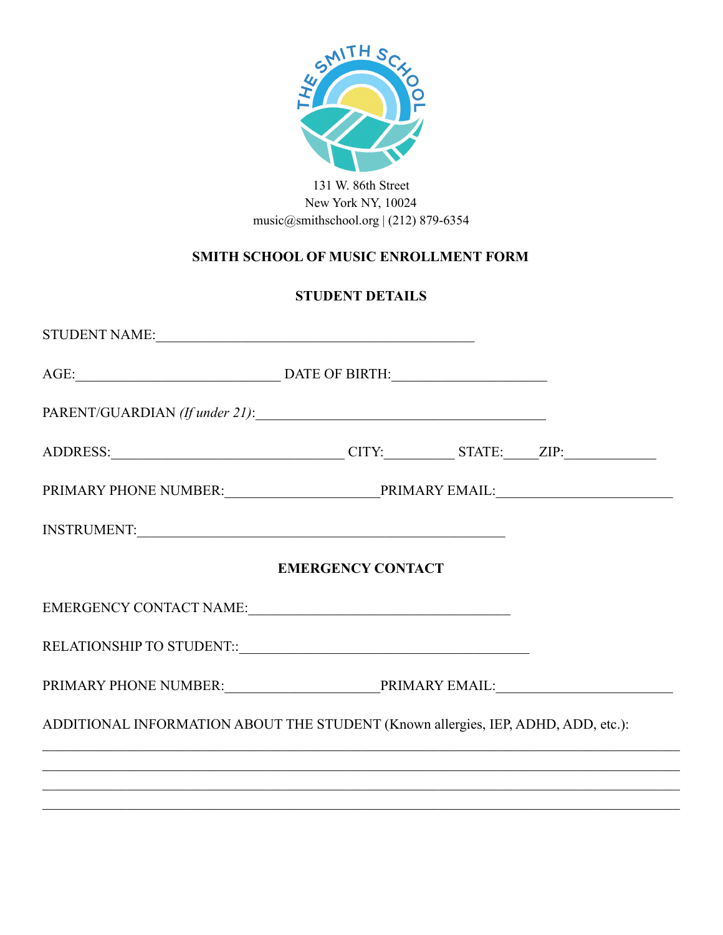

## 131 W. 86th Street New York NY, 10024 [music@smithschool.org](mailto:music@smithschool.org) | (212) 879-6354

# **SMITH SCHOOL OF MUSIC ENROLLMENT FORM**

## **STUDENT DETAILS**

| ADDRESS: CITY: STATE: ZIP:                                                        |  |  |  |  |  |
|-----------------------------------------------------------------------------------|--|--|--|--|--|
|                                                                                   |  |  |  |  |  |
| INSTRUMENT:                                                                       |  |  |  |  |  |
| <b>EMERGENCY CONTACT</b>                                                          |  |  |  |  |  |
|                                                                                   |  |  |  |  |  |
|                                                                                   |  |  |  |  |  |
|                                                                                   |  |  |  |  |  |
| ADDITIONAL INFORMATION ABOUT THE STUDENT (Known allergies, IEP, ADHD, ADD, etc.): |  |  |  |  |  |
|                                                                                   |  |  |  |  |  |
|                                                                                   |  |  |  |  |  |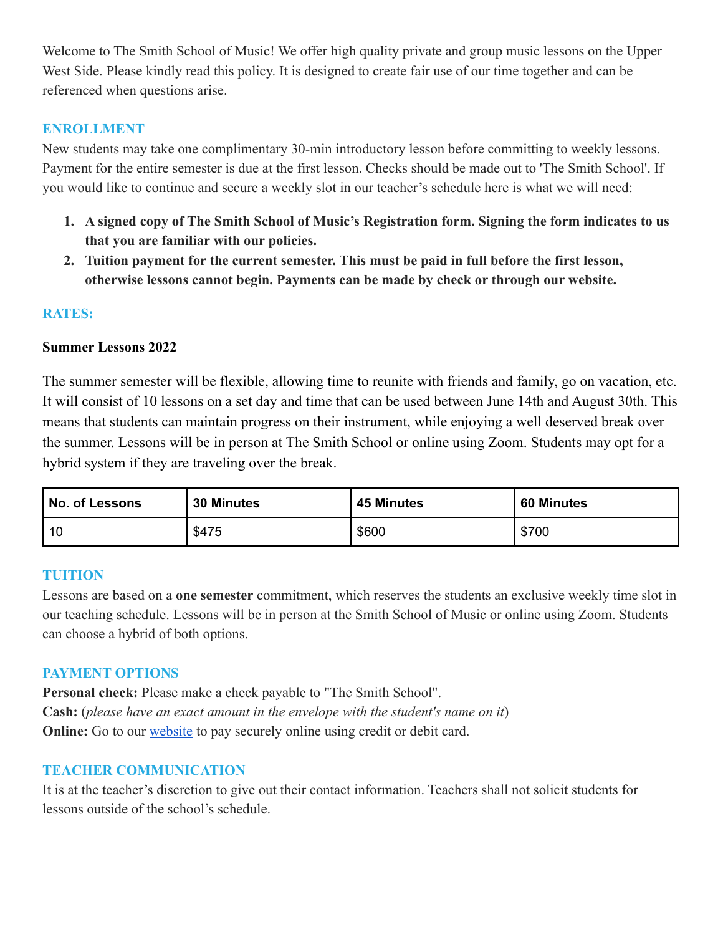Welcome to The Smith School of Music! We offer high quality private and group music lessons on the Upper West Side. Please kindly read this policy. It is designed to create fair use of our time together and can be referenced when questions arise.

## **ENROLLMENT**

New students may take one complimentary 30-min introductory lesson before committing to weekly lessons. Payment for the entire semester is due at the first lesson. Checks should be made out to 'The Smith School'. If you would like to continue and secure a weekly slot in our teacher's schedule here is what we will need:

- **1. A signed copy of The Smith School of Music's Registration form. Signing the form indicates to us that you are familiar with our policies.**
- **2. Tuition payment for the current semester. This must be paid in full before the first lesson, otherwise lessons cannot begin. Payments can be made by check or through our website.**

#### **RATES:**

#### **Summer Lessons 2022**

The summer semester will be flexible, allowing time to reunite with friends and family, go on vacation, etc. It will consist of 10 lessons on a set day and time that can be used between June 14th and August 30th. This means that students can maintain progress on their instrument, while enjoying a well deserved break over the summer. Lessons will be in person at The Smith School or online using Zoom. Students may opt for a hybrid system if they are traveling over the break.

| No. of Lessons | <b>30 Minutes</b> | <b>45 Minutes</b> | 60 Minutes |
|----------------|-------------------|-------------------|------------|
| 10             | \$475             | \$600             | \$700      |

#### **TUITION**

Lessons are based on a **one semester** commitment, which reserves the students an exclusive weekly time slot in our teaching schedule. Lessons will be in person at the Smith School of Music or online using Zoom. Students can choose a hybrid of both options.

#### **PAYMENT OPTIONS**

**Personal check:** Please make a check payable to "The Smith School". **Cash:** (*please have an exact amount in the envelope with the student's name on it*) **Online:** Go to our [website](https://www.smithschool.org/product-page/monday-lessons) to pay securely online using credit or debit card.

#### **TEACHER COMMUNICATION**

It is at the teacher's discretion to give out their contact information. Teachers shall not solicit students for lessons outside of the school's schedule.